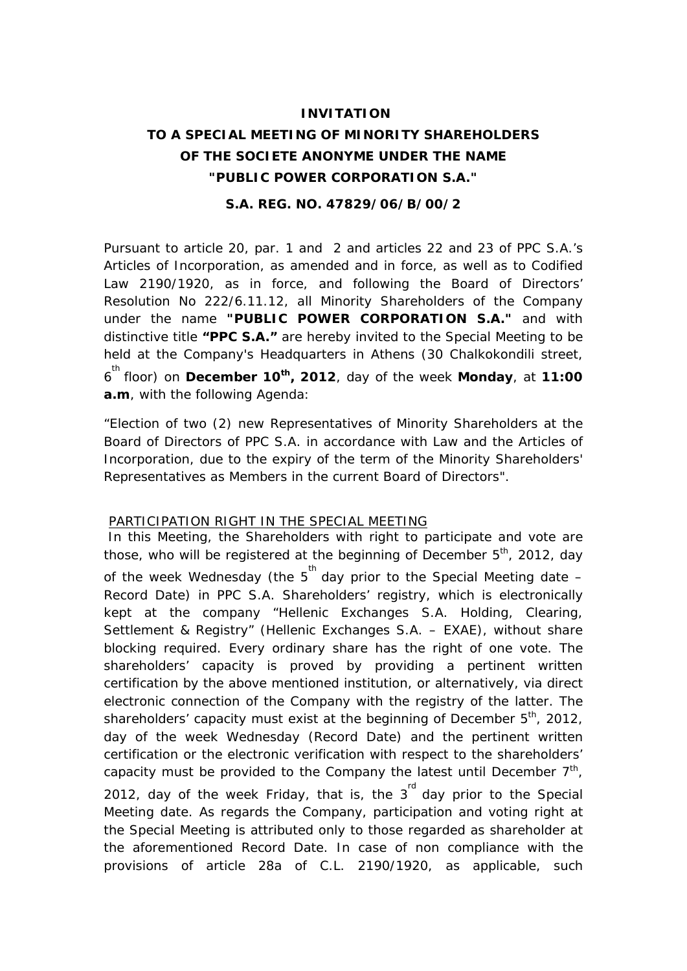# **INVITATION TO A SPECIAL MEETING OF MINORITY SHAREHOLDERS OF THE SOCIETE ANONYME UNDER THE NAME "PUBLIC POWER CORPORATION S.A."**

### **S.A. REG. NO. 47829/06/B/00/2**

Pursuant to article 20, par. 1 and 2 and articles 22 and 23 of PPC S.A.'s Articles of Incorporation, as amended and in force, as well as to Codified Law 2190/1920, as in force, and following the Board of Directors' Resolution No 222/6.11.12, all Minority Shareholders of the Company under the name **"PUBLIC POWER CORPORATION S.A."** and with distinctive title **"PPC S.A."** are hereby invited to the Special Meeting to be held at the Company's Headquarters in Athens (30 Chalkokondili street, 6 th floor) on **December 10th, 2012**, day of the week **Monday**, at **11:00 a.m**, with the following Agenda:

"Election of two (2) new Representatives of Minority Shareholders at the Board of Directors of PPC S.A. in accordance with Law and the Articles of Incorporation, due to the expiry of the term of the Minority Shareholders' Representatives as Members in the current Board of Directors".

#### PARTICIPATION RIGHT IN THE SPECIAL MEETING

 In this Meeting, the Shareholders with right to participate and vote are those, who will be registered at the beginning of December  $5<sup>th</sup>$ , 2012, day of the week Wednesday (the  $5^{th}$  day prior to the Special Meeting date  $-$ Record Date) in PPC S.A. Shareholders' registry, which is electronically kept at the company "Hellenic Exchanges S.A. Holding, Clearing, Settlement & Registry" (Hellenic Exchanges S.A. – EXAE), without share blocking required. Every ordinary share has the right of one vote. The shareholders' capacity is proved by providing a pertinent written certification by the above mentioned institution, or alternatively, via direct electronic connection of the Company with the registry of the latter. The shareholders' capacity must exist at the beginning of December  $5<sup>th</sup>$ , 2012, day of the week Wednesday (Record Date) and the pertinent written certification or the electronic verification with respect to the shareholders' capacity must be provided to the Company the latest until December  $7<sup>th</sup>$ , 2012, day of the week Friday, that is, the  $3<sup>rd</sup>$  day prior to the Special Meeting date. As regards the Company, participation and voting right at the Special Meeting is attributed only to those regarded as shareholder at the aforementioned Record Date. In case of non compliance with the provisions of article 28a of C.L. 2190/1920, as applicable, such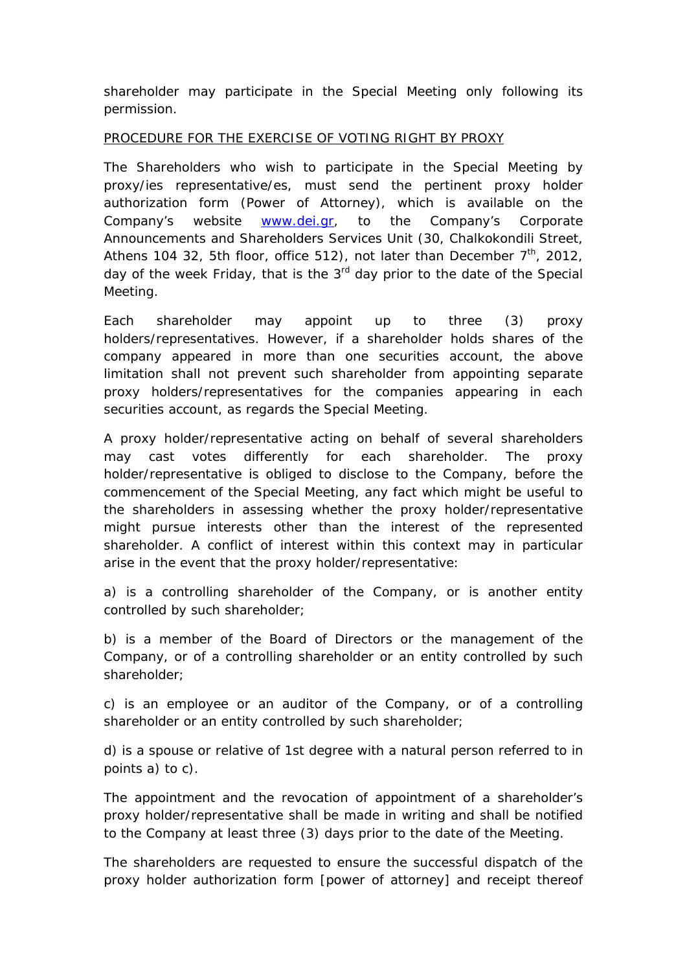shareholder may participate in the Special Meeting only following its permission.

## PROCEDURE FOR THE EXERCISE OF VOTING RIGHT BY PROXY

The Shareholders who wish to participate in the Special Meeting by proxy/ies representative/es, must send the pertinent proxy holder authorization form (Power of Attorney), which is available on the Company's website [www.dei.gr](http://www.dei.gr/), to the Company's Corporate Announcements and Shareholders Services Unit (30, Chalkokondili Street, Athens 104 32, 5th floor, office 512), not later than December  $7<sup>th</sup>$ , 2012, day of the week Friday, that is the  $3<sup>rd</sup>$  day prior to the date of the Special Meeting.

Each shareholder may appoint up to three (3) proxy holders/representatives. However, if a shareholder holds shares of the company appeared in more than one securities account, the above limitation shall not prevent such shareholder from appointing separate proxy holders/representatives for the companies appearing in each securities account, as regards the Special Meeting.

A proxy holder/representative acting on behalf of several shareholders may cast votes differently for each shareholder. The proxy holder/representative is obliged to disclose to the Company, before the commencement of the Special Meeting, any fact which might be useful to the shareholders in assessing whether the proxy holder/representative might pursue interests other than the interest of the represented shareholder. A conflict of interest within this context may in particular arise in the event that the proxy holder/representative:

a) is a controlling shareholder of the Company, or is another entity controlled by such shareholder;

b) is a member of the Board of Directors or the management of the Company, or of a controlling shareholder or an entity controlled by such shareholder;

c) is an employee or an auditor of the Company, or of a controlling shareholder or an entity controlled by such shareholder;

d) is a spouse or relative of 1st degree with a natural person referred to in points a) to c).

The appointment and the revocation of appointment of a shareholder's proxy holder/representative shall be made in writing and shall be notified to the Company at least three (3) days prior to the date of the Meeting.

The shareholders are requested to ensure the successful dispatch of the proxy holder authorization form [power of attorney] and receipt thereof